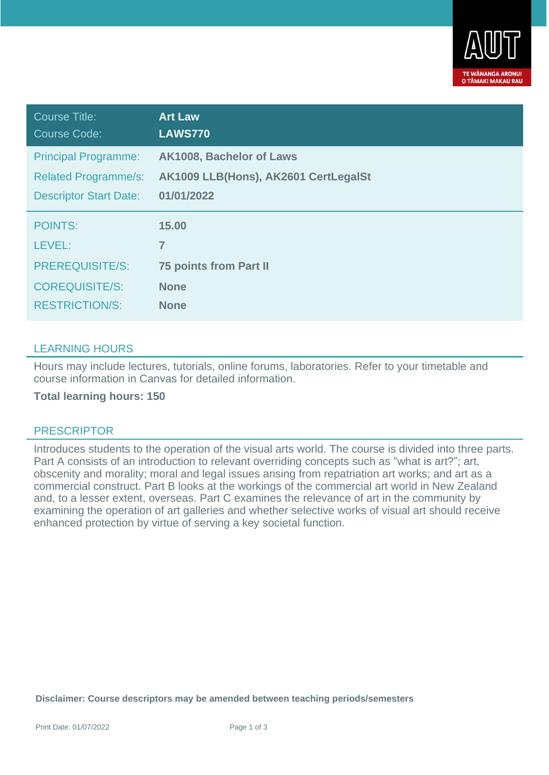

| Course Title:<br>Course Code: | <b>Art Law</b><br><b>LAWS770</b>     |
|-------------------------------|--------------------------------------|
| <b>Principal Programme:</b>   | AK1008, Bachelor of Laws             |
| <b>Related Programme/s:</b>   | AK1009 LLB(Hons), AK2601 CertLegalSt |
| <b>Descriptor Start Date:</b> | 01/01/2022                           |
| <b>POINTS:</b>                | 15.00                                |
| LEVEL:                        | 7                                    |
| <b>PREREQUISITE/S:</b>        | <b>75 points from Part II</b>        |
| <b>COREQUISITE/S:</b>         | <b>None</b>                          |
| <b>RESTRICTION/S:</b>         | <b>None</b>                          |

## LEARNING HOURS

Hours may include lectures, tutorials, online forums, laboratories. Refer to your timetable and course information in Canvas for detailed information.

**Total learning hours: 150**

## PRESCRIPTOR

Introduces students to the operation of the visual arts world. The course is divided into three parts. Part A consists of an introduction to relevant overriding concepts such as "what is art?"; art, obscenity and morality; moral and legal issues arising from repatriation art works; and art as a commercial construct. Part B looks at the workings of the commercial art world in New Zealand and, to a lesser extent, overseas. Part C examines the relevance of art in the community by examining the operation of art galleries and whether selective works of visual art should receive enhanced protection by virtue of serving a key societal function.

**Disclaimer: Course descriptors may be amended between teaching periods/semesters**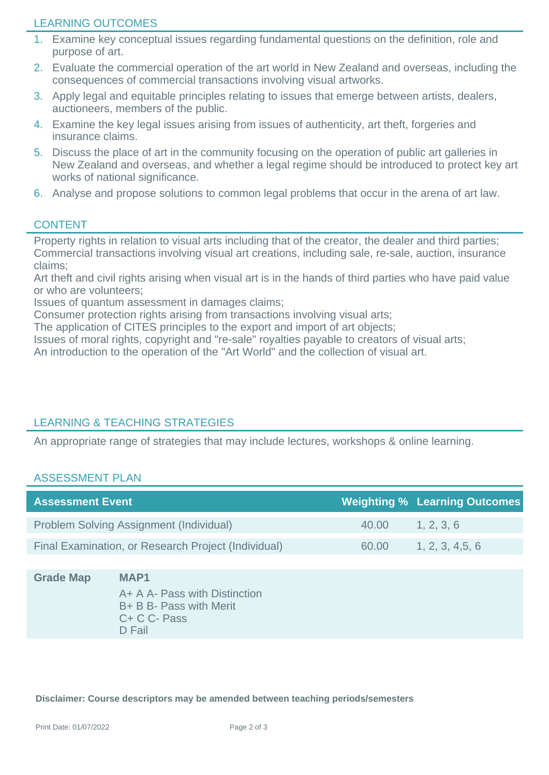## LEARNING OUTCOMES

- 1. Examine key conceptual issues regarding fundamental questions on the definition, role and purpose of art.
- 2. Evaluate the commercial operation of the art world in New Zealand and overseas, including the consequences of commercial transactions involving visual artworks.
- 3. Apply legal and equitable principles relating to issues that emerge between artists, dealers, auctioneers, members of the public.
- 4. Examine the key legal issues arising from issues of authenticity, art theft, forgeries and insurance claims.
- 5. Discuss the place of art in the community focusing on the operation of public art galleries in New Zealand and overseas, and whether a legal regime should be introduced to protect key art works of national significance.
- 6. Analyse and propose solutions to common legal problems that occur in the arena of art law.

## **CONTENT**

Property rights in relation to visual arts including that of the creator, the dealer and third parties; Commercial transactions involving visual art creations, including sale, re-sale, auction, insurance claims;

Art theft and civil rights arising when visual art is in the hands of third parties who have paid value or who are volunteers;

Issues of quantum assessment in damages claims;

Consumer protection rights arising from transactions involving visual arts;

The application of CITES principles to the export and import of art objects;

Issues of moral rights, copyright and "re-sale" royalties payable to creators of visual arts;

An introduction to the operation of the "Art World" and the collection of visual art.

# LEARNING & TEACHING STRATEGIES

An appropriate range of strategies that may include lectures, workshops & online learning.

### ASSESSMENT PLAN

| <b>Assessment Event</b>                             |       | <b>Weighting % Learning Outcomes</b> |
|-----------------------------------------------------|-------|--------------------------------------|
| Problem Solving Assignment (Individual)             | 40.00 | 1, 2, 3, 6                           |
| Final Examination, or Research Project (Individual) | 60.00 | 1, 2, 3, 4.5, 6                      |

## **Grade Map MAP1**

A+ A A- Pass with Distinction B+ B B- Pass with Merit C+ C C- Pass D Fail

**Disclaimer: Course descriptors may be amended between teaching periods/semesters**